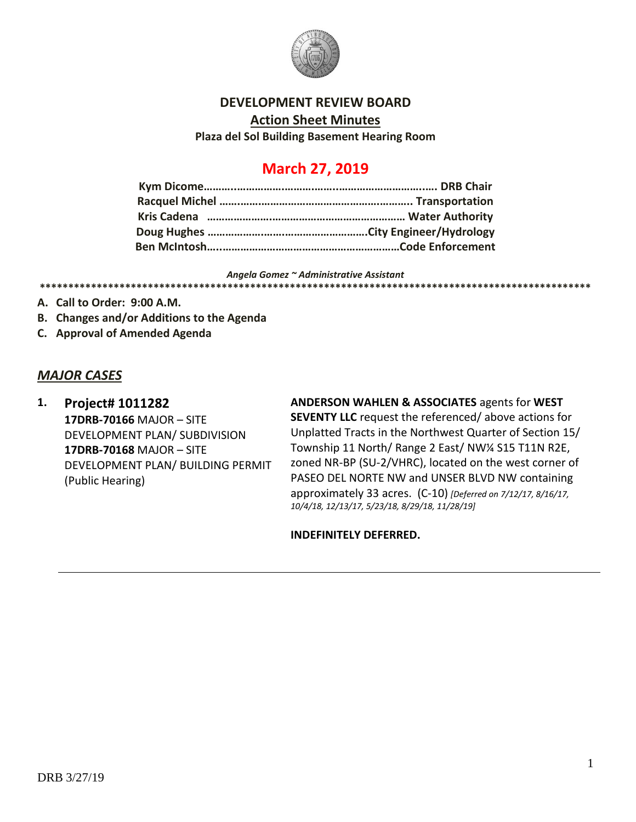

#### **DEVELOPMENT REVIEW BOARD**

**Action Sheet Minutes**

**Plaza del Sol Building Basement Hearing Room**

# **March 27, 2019**

#### *Angela Gomez ~ Administrative Assistant* **\*\*\*\*\*\*\*\*\*\*\*\*\*\*\*\*\*\*\*\*\*\*\*\*\*\*\*\*\*\*\*\*\*\*\*\*\*\*\*\*\*\*\*\*\*\*\*\*\*\*\*\*\*\*\*\*\*\*\*\*\*\*\*\*\*\*\*\*\*\*\*\*\*\*\*\*\*\*\*\*\*\*\*\*\*\*\*\*\*\*\*\*\*\*\*\*\***

- **A. Call to Order: 9:00 A.M.**
- **B. Changes and/or Additions to the Agenda**
- **C. Approval of Amended Agenda**

#### *MAJOR CASES*

**1. Project# 1011282 17DRB-70166** MAJOR – SITE DEVELOPMENT PLAN/ SUBDIVISION **17DRB-70168** MAJOR – SITE DEVELOPMENT PLAN/ BUILDING PERMIT (Public Hearing)

**ANDERSON WAHLEN & ASSOCIATES** agents for **WEST SEVENTY LLC** request the referenced/ above actions for Unplatted Tracts in the Northwest Quarter of Section 15/ Township 11 North/ Range 2 East/ NW¼ S15 T11N R2E, zoned NR-BP (SU-2/VHRC), located on the west corner of PASEO DEL NORTE NW and UNSER BLVD NW containing approximately 33 acres. (C-10) *[Deferred on 7/12/17, 8/16/17, 10/4/18, 12/13/17, 5/23/18, 8/29/18, 11/28/19]*

**INDEFINITELY DEFERRED.**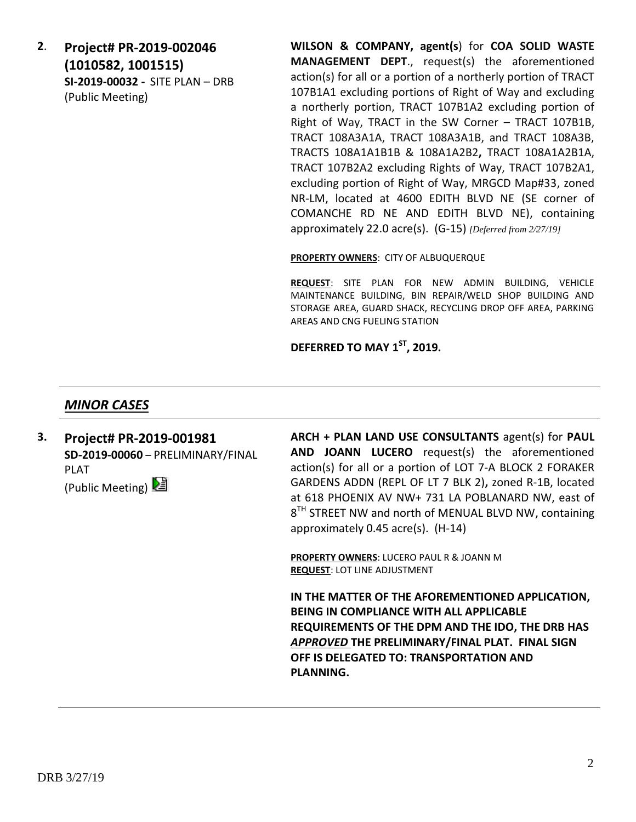**2**. **Project# PR-2019-002046 (1010582, 1001515) SI-2019-00032 -** SITE PLAN – DRB (Public Meeting)

**WILSON & COMPANY, agent(s**) for **COA SOLID WASTE MANAGEMENT DEPT**., request(s) the aforementioned action(s) for all or a portion of a northerly portion of TRACT 107B1A1 excluding portions of Right of Way and excluding a northerly portion, TRACT 107B1A2 excluding portion of Right of Way, TRACT in the SW Corner – TRACT 107B1B, TRACT 108A3A1A, TRACT 108A3A1B, and TRACT 108A3B, TRACTS 108A1A1B1B & 108A1A2B2**,** TRACT 108A1A2B1A, TRACT 107B2A2 excluding Rights of Way, TRACT 107B2A1, excluding portion of Right of Way, MRGCD Map#33, zoned NR-LM, located at 4600 EDITH BLVD NE (SE corner of COMANCHE RD NE AND EDITH BLVD NE), containing approximately 22.0 acre(s). (G-15) *[Deferred from 2/27/19]*

**PROPERTY OWNERS**: CITY OF ALBUQUERQUE

**REQUEST**: SITE PLAN FOR NEW ADMIN BUILDING, VEHICLE MAINTENANCE BUILDING, BIN REPAIR/WELD SHOP BUILDING AND STORAGE AREA, GUARD SHACK, RECYCLING DROP OFF AREA, PARKING AREAS AND CNG FUELING STATION

**DEFERRED TO MAY 1ST, 2019.**

### *MINOR CASES*

**3. Project# PR-2019-001981 SD-2019-00060** – PRELIMINARY/FINAL PLAT (Public Meeting)

**ARCH + PLAN LAND USE CONSULTANTS** agent(s) for **PAUL AND JOANN LUCERO** request(s) the aforementioned action(s) for all or a portion of LOT 7-A BLOCK 2 FORAKER GARDENS ADDN (REPL OF LT 7 BLK 2)**,** zoned R-1B, located at 618 PHOENIX AV NW+ 731 LA POBLANARD NW, east of  $8^{TH}$  STREET NW and north of MENUAL BLVD NW, containing approximately 0.45 acre(s). (H-14)

**PROPERTY OWNERS**: LUCERO PAUL R & JOANN M **REQUEST**: LOT LINE ADJUSTMENT

**IN THE MATTER OF THE AFOREMENTIONED APPLICATION, BEING IN COMPLIANCE WITH ALL APPLICABLE REQUIREMENTS OF THE DPM AND THE IDO, THE DRB HAS**  *APPROVED* **THE PRELIMINARY/FINAL PLAT. FINAL SIGN OFF IS DELEGATED TO: TRANSPORTATION AND PLANNING.**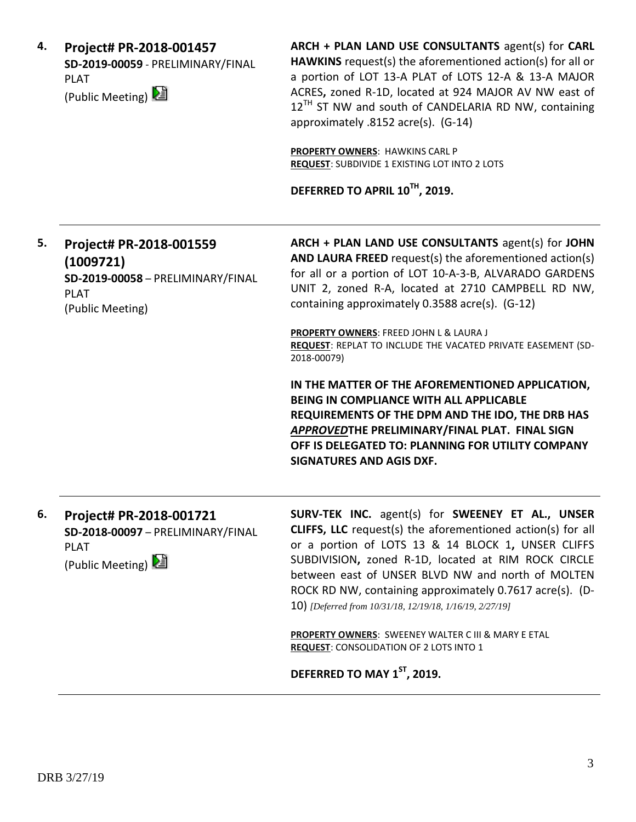| 4. | Project# PR-2018-001457           |  |  |
|----|-----------------------------------|--|--|
|    | SD-2019-00059 - PRELIMINARY/FINAL |  |  |
|    | PI AT                             |  |  |
|    | (Public Meeting)                  |  |  |

**ARCH + PLAN LAND USE CONSULTANTS** agent(s) for **CARL HAWKINS** request(s) the aforementioned action(s) for all or a portion of LOT 13-A PLAT of LOTS 12-A & 13-A MAJOR ACRES**,** zoned R-1D, located at 924 MAJOR AV NW east of  $12^{TH}$  ST NW and south of CANDELARIA RD NW, containing approximately .8152 acre(s). (G-14)

**PROPERTY OWNERS**: HAWKINS CARL P **REQUEST**: SUBDIVIDE 1 EXISTING LOT INTO 2 LOTS

**DEFERRED TO APRIL 10TH, 2019.**

### **5. Project# PR-2018-001559 (1009721) SD-2019-00058** – PRELIMINARY/FINAL PLAT (Public Meeting)

**ARCH + PLAN LAND USE CONSULTANTS** agent(s) for **JOHN AND LAURA FREED** request(s) the aforementioned action(s) for all or a portion of LOT 10-A-3-B, ALVARADO GARDENS UNIT 2, zoned R-A, located at 2710 CAMPBELL RD NW, containing approximately 0.3588 acre(s). (G-12)

**PROPERTY OWNERS**: FREED JOHN L & LAURA J **REQUEST**: REPLAT TO INCLUDE THE VACATED PRIVATE EASEMENT (SD-2018-00079)

**IN THE MATTER OF THE AFOREMENTIONED APPLICATION, BEING IN COMPLIANCE WITH ALL APPLICABLE REQUIREMENTS OF THE DPM AND THE IDO, THE DRB HAS**  *APPROVED***THE PRELIMINARY/FINAL PLAT. FINAL SIGN OFF IS DELEGATED TO: PLANNING FOR UTILITY COMPANY SIGNATURES AND AGIS DXF.**

**6. Project# PR-2018-001721 SD-2018-00097** – PRELIMINARY/FINAL PLAT

(Public Meeting)

**SURV-TEK INC.** agent(s) for **SWEENEY ET AL., UNSER CLIFFS, LLC** request(s) the aforementioned action(s) for all or a portion of LOTS 13 & 14 BLOCK 1**,** UNSER CLIFFS SUBDIVISION**,** zoned R-1D, located at RIM ROCK CIRCLE between east of UNSER BLVD NW and north of MOLTEN ROCK RD NW, containing approximately 0.7617 acre(s). (D-10) *[Deferred from 10/31/18, 12/19/18, 1/16/19, 2/27/19]*

**PROPERTY OWNERS**: SWEENEY WALTER C III & MARY E ETAL **REQUEST**: CONSOLIDATION OF 2 LOTS INTO 1

**DEFERRED TO MAY 1ST, 2019.**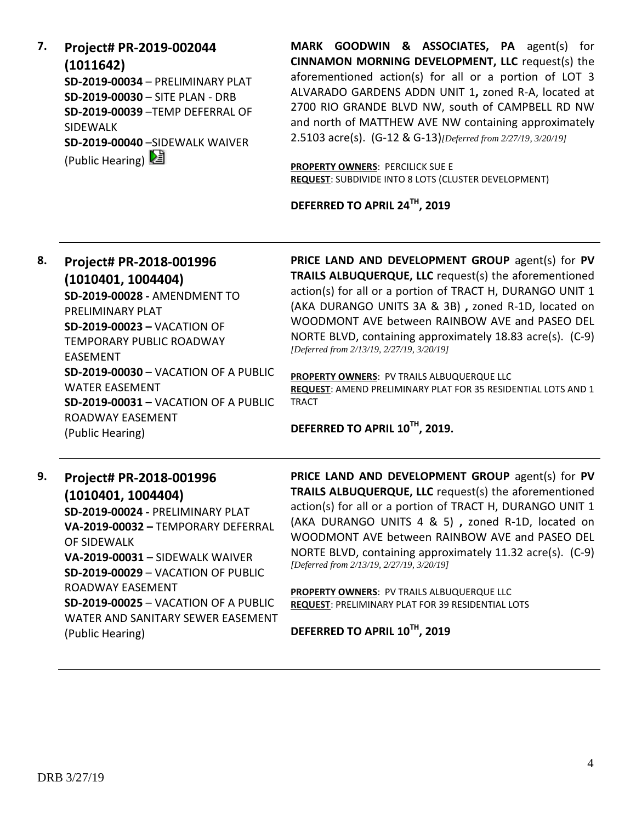| 7. | Project# PR-2019-002044                 |
|----|-----------------------------------------|
|    | (1011642)                               |
|    | <b>SD-2019-00034 - PRELIMINARY PLAT</b> |
|    | SD-2019-00030 - SITE PLAN - DRB         |
|    | SD-2019-00039-TEMP DEFERRAL OF          |
|    | <b>SIDFWALK</b>                         |
|    | SD-2019-00040 -SIDEWALK WAIVER          |
|    | (Public Hearing)                        |

**MARK GOODWIN & ASSOCIATES, PA** agent(s) for **CINNAMON MORNING DEVELOPMENT, LLC** request(s) the aforementioned action(s) for all or a portion of LOT 3 ALVARADO GARDENS ADDN UNIT 1**,** zoned R-A, located at 2700 RIO GRANDE BLVD NW, south of CAMPBELL RD NW and north of MATTHEW AVE NW containing approximately 2.5103 acre(s). (G-12 & G-13)*[Deferred from 2/27/19, 3/20/19]*

**PROPERTY OWNERS**: PERCILICK SUE E **REQUEST**: SUBDIVIDE INTO 8 LOTS (CLUSTER DEVELOPMENT)

**DEFERRED TO APRIL 24TH, 2019**

#### **8. Project# PR-2018-001996 (1010401, 1004404) SD-2019-00028 -** AMENDMENT TO PRELIMINARY PLAT **SD-2019-00023 –** VACATION OF TEMPORARY PUBLIC ROADWAY EASEMENT **SD-2019-00030** – VACATION OF A PUBLIC WATER EASEMENT **SD-2019-00031** – VACATION OF A PUBLIC ROADWAY EASEMENT (Public Hearing) **PRICE LAND AND DEVELOPMENT GROUP** agent(s) for **PV TRAILS ALBUQUERQUE, LLC** request(s) the aforementioned action(s) for all or a portion of TRACT H, DURANGO UNIT 1 (AKA DURANGO UNITS 3A & 3B) **,** zoned R-1D, located on WOODMONT AVE between RAINBOW AVE and PASEO DEL NORTE BLVD, containing approximately 18.83 acre(s). (C-9) *[Deferred from 2/13/19, 2/27/19, 3/20/19]* **PROPERTY OWNERS**: PV TRAILS ALBUQUERQUE LLC **REQUEST**: AMEND PRELIMINARY PLAT FOR 35 RESIDENTIAL LOTS AND 1 TRACT **DEFERRED TO APRIL 10TH, 2019. 9. Project# PR-2018-001996 PRICE LAND AND DEVELOPMENT GROUP** agent(s) for **PV**

**(1010401, 1004404) SD-2019-00024 -** PRELIMINARY PLAT **VA-2019-00032 –** TEMPORARY DEFERRAL OF SIDEWALK **VA-2019-00031** – SIDEWALK WAIVER **SD-2019-00029** – VACATION OF PUBLIC ROADWAY EASEMENT **SD-2019-00025** – VACATION OF A PUBLIC WATER AND SANITARY SEWER EASEMENT (Public Hearing)

**TRAILS ALBUQUERQUE, LLC** request(s) the aforementioned action(s) for all or a portion of TRACT H, DURANGO UNIT 1 (AKA DURANGO UNITS 4 & 5) **,** zoned R-1D, located on WOODMONT AVE between RAINBOW AVE and PASEO DEL NORTE BLVD, containing approximately 11.32 acre(s). (C-9) *[Deferred from 2/13/19, 2/27/19, 3/20/19]*

**PROPERTY OWNERS**: PV TRAILS ALBUQUERQUE LLC **REQUEST**: PRELIMINARY PLAT FOR 39 RESIDENTIAL LOTS

**DEFERRED TO APRIL 10TH, 2019**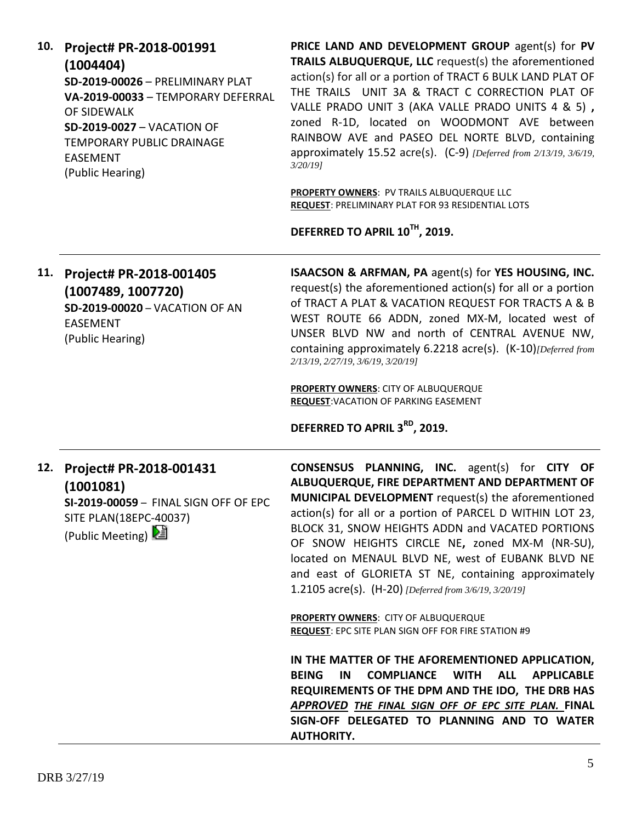|     | (1004404)<br>SD-2019-00026 - PRELIMINARY PLAT<br>VA-2019-00033 - TEMPORARY DEFERRAL<br>OF SIDEWALK<br><b>SD-2019-0027 - VACATION OF</b><br>TEMPORARY PUBLIC DRAINAGE<br><b>EASEMENT</b><br>(Public Hearing) | <b>TRAILS ALBUQUERQUE, LLC</b> request(s) the aforementioned<br>action(s) for all or a portion of TRACT 6 BULK LAND PLAT OF<br>THE TRAILS UNIT 3A & TRACT C CORRECTION PLAT OF<br>VALLE PRADO UNIT 3 (AKA VALLE PRADO UNITS 4 & 5),<br>zoned R-1D, located on WOODMONT AVE between<br>RAINBOW AVE and PASEO DEL NORTE BLVD, containing<br>approximately 15.52 acre(s). $(C-9)$ [Deferred from 2/13/19, 3/6/19,<br>$3/20/19$ ]<br>PROPERTY OWNERS: PV TRAILS ALBUQUERQUE LLC<br><b>REQUEST: PRELIMINARY PLAT FOR 93 RESIDENTIAL LOTS</b> |
|-----|-------------------------------------------------------------------------------------------------------------------------------------------------------------------------------------------------------------|-----------------------------------------------------------------------------------------------------------------------------------------------------------------------------------------------------------------------------------------------------------------------------------------------------------------------------------------------------------------------------------------------------------------------------------------------------------------------------------------------------------------------------------------|
|     |                                                                                                                                                                                                             | DEFERRED TO APRIL 10TH, 2019.                                                                                                                                                                                                                                                                                                                                                                                                                                                                                                           |
| 11. | Project# PR-2018-001405<br>(1007489, 1007720)<br><b>SD-2019-00020 - VACATION OF AN</b><br><b>EASEMENT</b><br>(Public Hearing)                                                                               | ISAACSON & ARFMAN, PA agent(s) for YES HOUSING, INC.<br>request(s) the aforementioned action(s) for all or a portion<br>of TRACT A PLAT & VACATION REQUEST FOR TRACTS A & B<br>WEST ROUTE 66 ADDN, zoned MX-M, located west of<br>UNSER BLVD NW and north of CENTRAL AVENUE NW,<br>containing approximately 6.2218 acre(s). (K-10) [Deferred from<br>2/13/19, 2/27/19, 3/6/19, 3/20/19]                                                                                                                                                 |
|     |                                                                                                                                                                                                             | <b>PROPERTY OWNERS: CITY OF ALBUQUERQUE</b><br><b>REQUEST: VACATION OF PARKING EASEMENT</b>                                                                                                                                                                                                                                                                                                                                                                                                                                             |
|     |                                                                                                                                                                                                             | DEFERRED TO APRIL 3 <sup>RD</sup> , 2019.                                                                                                                                                                                                                                                                                                                                                                                                                                                                                               |
|     | 12. Project# PR-2018-001431<br>(1001081)<br>SI-2019-00059 - FINAL SIGN OFF OF EPC<br>SITE PLAN(18EPC-40037)<br>(Public Meeting)                                                                             | <b>CONSENSUS PLANNING, INC.</b> agent(s) for CITY OF<br>ALBUQUERQUE, FIRE DEPARTMENT AND DEPARTMENT OF<br>MUNICIPAL DEVELOPMENT request(s) the aforementioned<br>action(s) for all or a portion of PARCEL D WITHIN LOT 23,<br>BLOCK 31, SNOW HEIGHTS ADDN and VACATED PORTIONS<br>OF SNOW HEIGHTS CIRCLE NE, zoned MX-M (NR-SU),<br>located on MENAUL BLVD NE, west of EUBANK BLVD NE<br>and east of GLORIETA ST NE, containing approximately<br>1.2105 acre(s). (H-20) [Deferred from 3/6/19, 3/20/19]                                 |
|     |                                                                                                                                                                                                             | PROPERTY OWNERS: CITY OF ALBUQUERQUE<br><b>REQUEST: EPC SITE PLAN SIGN OFF FOR FIRE STATION #9</b>                                                                                                                                                                                                                                                                                                                                                                                                                                      |
|     |                                                                                                                                                                                                             | IN THE MATTER OF THE AFOREMENTIONED APPLICATION,<br><b>BEING</b><br>IN<br><b>COMPLIANCE</b><br><b>WITH</b><br><b>ALL</b><br><b>APPLICABLE</b><br>REQUIREMENTS OF THE DPM AND THE IDO, THE DRB HAS<br>APPROVED THE FINAL SIGN OFF OF EPC SITE PLAN. FINAL<br>SIGN-OFF DELEGATED TO PLANNING AND TO WATER<br><b>AUTHORITY.</b>                                                                                                                                                                                                            |

**PRICE LAND AND DEVELOPMENT GROUP** agent(s) for **PV TRAILS ALBUQUERQUE, LLC** request(s) the aforementioned

**10. Project# PR-2018-001991**